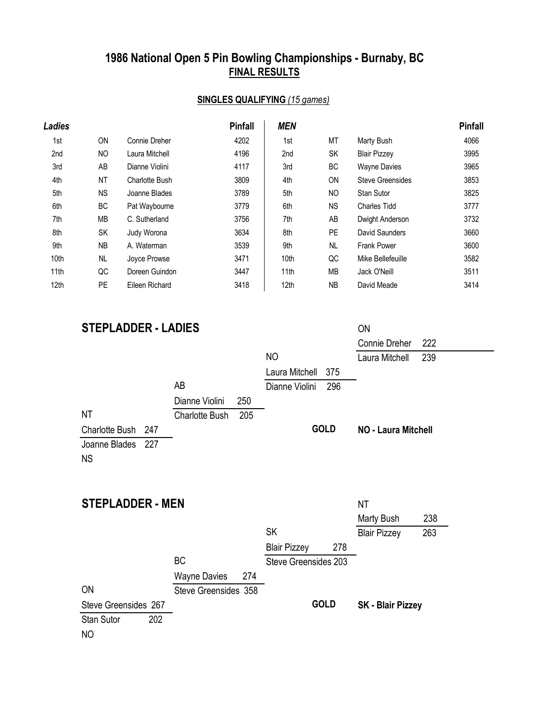# **1986 National Open 5 Pin Bowling Championships - Burnaby, BC FINAL RESULTS**

#### **SINGLES QUALIFYING** *(15 games)*

| Ladies |           |                | <b>Pinfall</b> | <b>MEN</b>       |           |                         | <b>Pinfall</b> |
|--------|-----------|----------------|----------------|------------------|-----------|-------------------------|----------------|
| 1st    | <b>ON</b> | Connie Dreher  | 4202           | 1st              | МT        | Marty Bush              | 4066           |
| 2nd    | NO        | Laura Mitchell | 4196           | 2nd              | SK        | <b>Blair Pizzey</b>     | 3995           |
| 3rd    | AB        | Dianne Violini | 4117           | 3rd              | ВC        | <b>Wayne Davies</b>     | 3965           |
| 4th    | <b>NT</b> | Charlotte Bush | 3809           | 4th              | <b>ON</b> | <b>Steve Greensides</b> | 3853           |
| 5th    | NS.       | Joanne Blades  | 3789           | 5th              | NO.       | Stan Sutor              | 3825           |
| 6th    | BC        | Pat Waybourne  | 3779           | 6th              | <b>NS</b> | <b>Charles Tidd</b>     | 3777           |
| 7th    | MВ        | C. Sutherland  | 3756           | 7th              | AB        | Dwight Anderson         | 3732           |
| 8th    | SK        | Judy Worona    | 3634           | 8th              | PE.       | David Saunders          | 3660           |
| 9th    | NB        | A. Waterman    | 3539           | 9th              | <b>NL</b> | <b>Frank Power</b>      | 3600           |
| 10th   | <b>NL</b> | Joyce Prowse   | 3471           | 10 <sub>th</sub> | QC        | Mike Bellefeuille       | 3582           |
| 11th   | QC        | Doreen Guindon | 3447           | 11 <sub>th</sub> | МB        | Jack O'Neill            | 3511           |
| 12th   | <b>PE</b> | Eileen Richard | 3418           | 12 <sub>th</sub> | <b>NB</b> | David Meade             | 3414           |

#### **STEPLADDER - LADIES** ON

|                      |                       |     |                |             | <b>Connie Dreher</b>       | 222 |
|----------------------|-----------------------|-----|----------------|-------------|----------------------------|-----|
|                      |                       |     | N <sub>O</sub> |             | Laura Mitchell             | 239 |
|                      |                       |     | Laura Mitchell | 375         |                            |     |
|                      | AB                    |     | Dianne Violini | 296         |                            |     |
|                      | Dianne Violini        | 250 |                |             |                            |     |
| ΝT                   | <b>Charlotte Bush</b> | 205 |                |             |                            |     |
| Charlotte Bush 247   |                       |     |                | <b>GOLD</b> | <b>NO - Laura Mitchell</b> |     |
| 227<br>Joanne Blades |                       |     |                |             |                            |     |
| <b>NS</b>            |                       |     |                |             |                            |     |
|                      |                       |     |                |             |                            |     |

| <b>STEPLADDER - MEN</b> |     |                      |     |                      | ΝT          |                          |     |
|-------------------------|-----|----------------------|-----|----------------------|-------------|--------------------------|-----|
|                         |     |                      |     |                      |             | Marty Bush               | 238 |
|                         |     |                      |     | <b>SK</b>            |             | <b>Blair Pizzey</b>      | 263 |
|                         |     |                      |     | <b>Blair Pizzey</b>  | 278         |                          |     |
|                         |     | <b>BC</b>            |     | Steve Greensides 203 |             |                          |     |
|                         |     | <b>Wayne Davies</b>  | 274 |                      |             |                          |     |
| <b>ON</b>               |     | Steve Greensides 358 |     |                      |             |                          |     |
| Steve Greensides 267    |     |                      |     |                      | <b>GOLD</b> | <b>SK - Blair Pizzey</b> |     |
| <b>Stan Sutor</b>       | 202 |                      |     |                      |             |                          |     |
| NO                      |     |                      |     |                      |             |                          |     |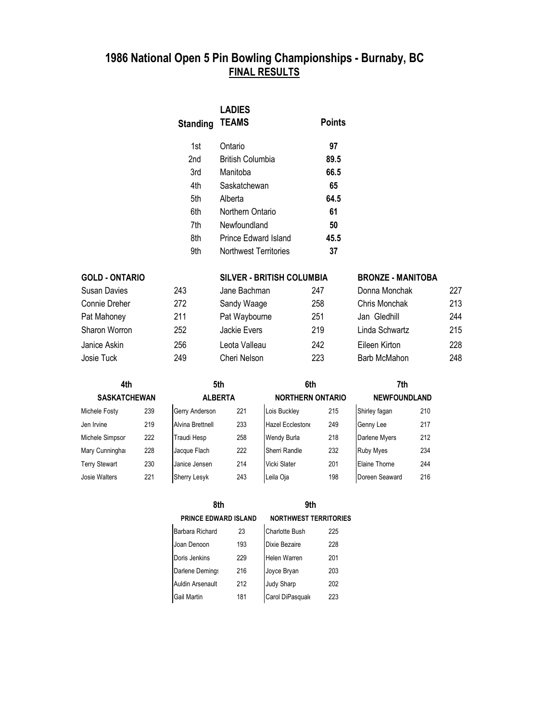## **FINAL RESULTS 1986 National Open 5 Pin Bowling Championships - Burnaby, BC**

| <b>Standing</b> | <b>LADIES</b><br><b>TEAMS</b> | <b>Points</b> |
|-----------------|-------------------------------|---------------|
| 1st             | Ontario                       | 97            |
| 2nd             | <b>British Columbia</b>       | 89.5          |
| 3rd             | Manitoba                      | 66.5          |
| 4th             | Saskatchewan                  | 65            |
| 5th             | Alberta                       | 64.5          |
| 6th             | Northern Ontario              | 61            |
| 7th             | Newfoundland                  | 50            |
| 8th             | Prince Edward Island          | 45.5          |
| 9th             | Northwest Territories         | 37            |

| <b>GOLD - ONTARIO</b> |     |               | <b>SILVER - BRITISH COLUMBIA</b> |                | <b>BRONZE - MANITOBA</b> |
|-----------------------|-----|---------------|----------------------------------|----------------|--------------------------|
| Susan Davies          | 243 | Jane Bachman  | 247                              | Donna Monchak  | 227                      |
| Connie Dreher         | 272 | Sandy Waage   | 258                              | Chris Monchak  | 213                      |
| Pat Mahoney           | 211 | Pat Waybourne | 251                              | Jan Gledhill   | 244                      |
| Sharon Worron         | 252 | Jackie Evers  | 219                              | Linda Schwartz | 215                      |
| Janice Askin          | 256 | Leota Valleau | 242                              | Eileen Kirton  | 228                      |
| Josie Tuck            | 249 | Cheri Nelson  | 223                              | Barb McMahon   | 248                      |

| 4th                  |     | 5th                 |                |                    |                         | 7th              |                     |  |
|----------------------|-----|---------------------|----------------|--------------------|-------------------------|------------------|---------------------|--|
| <b>SASKATCHEWAN</b>  |     |                     | <b>ALBERTA</b> |                    | <b>NORTHERN ONTARIO</b> |                  | <b>NEWFOUNDLAND</b> |  |
| Michele Fosty        | 239 | Gerry Anderson      | 221            | Lois Buckley       | 215                     | Shirley fagan    | 210                 |  |
| Jen Irvine           | 219 | Alvina Brettnell    | 233            | Hazel Eccleston    | 249                     | Genny Lee        | 217                 |  |
| Michele Simpsor      | 222 | Traudi Hesp         | 258            | <b>Wendy Burla</b> | 218                     | Darlene Myers    | 212                 |  |
| Mary Cunningha       | 228 | Jacque Flach        | 222            | Sherri Randle      | 232                     | <b>Ruby Myes</b> | 234                 |  |
| <b>Terry Stewart</b> | 230 | Janice Jensen       | 214            | Vicki Slater       | 201                     | Elaine Thorne    | 244                 |  |
| Josie Walters        | 221 | <b>Sherry Lesyk</b> | 243            | Leila Oja          | 198                     | Doreen Seaward   | 216                 |  |

| 8th                         |     | 9th                          |     |  |  |
|-----------------------------|-----|------------------------------|-----|--|--|
| <b>PRINCE EDWARD ISLAND</b> |     | <b>NORTHWEST TERRITORIES</b> |     |  |  |
| Barbara Richard             | 23  | <b>Charlotte Bush</b>        | 225 |  |  |
| Joan Denoon                 | 193 | Dixie Bezaire                | 228 |  |  |
| Doris Jenkins               | 229 | <b>Helen Warren</b>          | 201 |  |  |
| Darlene Demings             | 216 | Joyce Bryan                  | 203 |  |  |
| Auldin Arsenault            | 212 | Judy Sharp                   | 202 |  |  |
| Gail Martin                 | 181 | Carol DiPasquak              | 223 |  |  |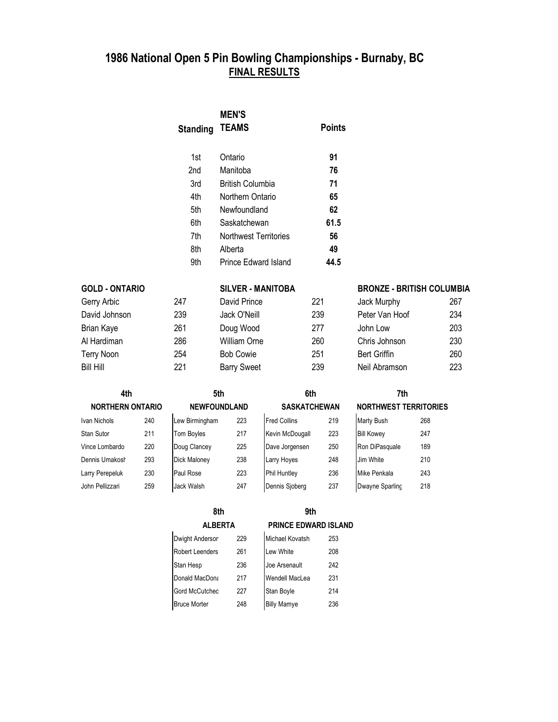## **1986 National Open 5 Pin Bowling Championships - Burnaby, BC FINAL RESULTS**

|                         | <b>Standing</b> | <b>MEN'S</b><br><b>TEAMS</b> | <b>Points</b>       |                                  |     |
|-------------------------|-----------------|------------------------------|---------------------|----------------------------------|-----|
|                         |                 |                              |                     |                                  |     |
|                         | 1st             | Ontario                      | 91                  |                                  |     |
|                         | 2nd             | Manitoba                     | 76                  |                                  |     |
|                         | 3rd             | <b>British Columbia</b>      | 71                  |                                  |     |
|                         | 4th             | Northern Ontario             | 65                  |                                  |     |
|                         | 5th             | Newfoundland                 | 62                  |                                  |     |
|                         | 6th             | Saskatchewan                 | 61.5                |                                  |     |
|                         | 7th             | Northwest Territories        | 56                  |                                  |     |
|                         | 8th             | Alberta                      | 49                  |                                  |     |
|                         | 9th             | Prince Edward Island         | 44.5                |                                  |     |
| <b>GOLD - ONTARIO</b>   |                 | <b>SILVER - MANITOBA</b>     |                     | <b>BRONZE - BRITISH COLUMBIA</b> |     |
| Gerry Arbic             | 247             | David Prince                 | 221                 | Jack Murphy                      | 267 |
| David Johnson           | 239             | Jack O'Neill                 | 239                 | Peter Van Hoof                   | 234 |
| Brian Kaye              | 261             | Doug Wood                    | 277                 | John Low                         | 203 |
| Al Hardiman             | 286             | <b>William Orne</b>          | 260                 | Chris Johnson                    | 230 |
| <b>Terry Noon</b>       | 254             | <b>Bob Cowie</b>             | 251                 | <b>Bert Griffin</b>              | 260 |
| Bill Hill               | 221             | <b>Barry Sweet</b>           | 239                 | Neil Abramson                    | 223 |
| 4th                     |                 | 5th                          | 6th                 | 7th                              |     |
| <b>NORTHERN ONTARIO</b> |                 | <b>NEWFOUNDLAND</b>          | <b>SASKATCHEWAN</b> | <b>NORTHWEST TERRITORIES</b>     |     |

| <b>NURTHERN UNTARIU</b> |     | <b>NEWFOUNDLAND</b> |     |                     | <b>SASKAILHEWAN</b><br><b>NURIHWESI</b> |                   | <b>IERRIIL</b> |
|-------------------------|-----|---------------------|-----|---------------------|-----------------------------------------|-------------------|----------------|
| Ivan Nichols            | 240 | Lew Birmingham      | 223 | <b>Fred Collins</b> | 219                                     | <b>Marty Bush</b> | 268            |
| <b>Stan Sutor</b>       | 211 | Tom Boyles          | 217 | Kevin McDougall     | 223                                     | <b>Bill Kowey</b> | 247            |
| Vince Lombardo          | 220 | Doug Clancey        | 225 | Dave Jorgensen      | 250                                     | Ron DiPasquale    | 189            |
| Dennis Umakosł          | 293 | <b>Dick Maloney</b> | 238 | Larry Hoyes         | 248                                     | Jim White         | 210            |
| Larry Perepeluk         | 230 | Paul Rose           | 223 | <b>Phil Huntley</b> | 236                                     | Mike Penkala      | 243            |
| John Pellizzari         | 259 | Jack Walsh          | 247 | Dennis Sjoberg      | 237                                     | Dwayne Sparling   | 218            |

| วเท                 |                     | otn                 |                     | 7 rn                     |                   |     |  |
|---------------------|---------------------|---------------------|---------------------|--------------------------|-------------------|-----|--|
| <b>NEWFOUNDLAND</b> |                     | <b>SASKATCHEWAN</b> |                     | <b>NORTHWEST TERRITO</b> |                   |     |  |
|                     | Lew Birmingham      | 223                 | <b>Fred Collins</b> | 219                      | Marty Bush        | 268 |  |
|                     | <b>Tom Boyles</b>   | 217                 | Kevin McDougall     | 223                      | <b>Bill Kowey</b> | 247 |  |
|                     | Doug Clancey        | 225                 | Dave Jorgensen      | 250                      | Ron DiPasquale    | 189 |  |
|                     | <b>Dick Maloney</b> | 238                 | Larry Hoyes         | 248                      | Jim White         | 210 |  |
|                     | Paul Rose           | 223                 | <b>Phil Huntley</b> | 236                      | Mike Penkala      | 243 |  |
|                     | Jack Walsh          | 247                 | Dennis Sjoberg      | 237                      | Dwayne Sparling   | 218 |  |

#### **8th 9th ALBERTA PRINCE EDWARD ISLAND**

| Dwight Andersor        | 229 | Michael Kovatsh    | 253 |
|------------------------|-----|--------------------|-----|
| <b>Robert Leenders</b> | 261 | Lew White          | 208 |
| Stan Hesp              | 236 | Joe Arsenault      | 242 |
| Donald MacDona         | 217 | Wendell MacLea     | 231 |
| <b>Gord McCutched</b>  | 227 | <b>Stan Boyle</b>  | 214 |
| <b>Bruce Morter</b>    | 248 | <b>Billy Mamye</b> | 236 |